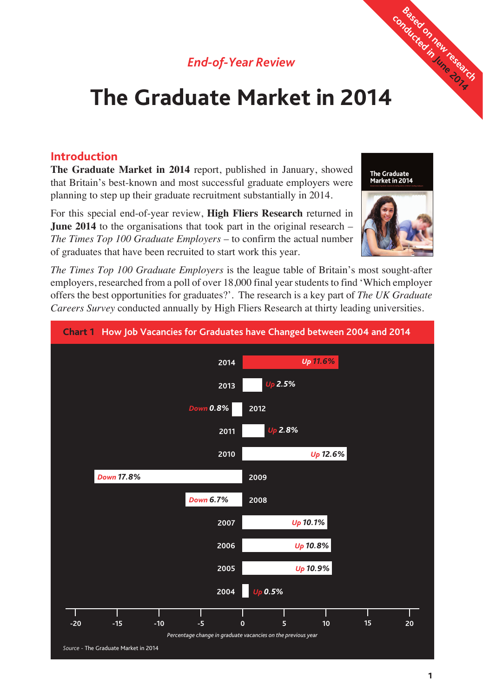## *End-of-Year Review*

# **The Graduate Market in 2014** Conducted in June 2014

### **Introduction**

**The Graduate Market in 2014** report, published in January, showed that Britain's best-known and most successful graduate employers were planning to step up their graduate recruitment substantially in 2014.

For this special end-of-year review, **High Fliers Research** returned in **June 2014** to the organisations that took part in the original research – *The Times Top 100 Graduate Employers* – to confirm the actual number of graduates that have been recruited to start work this year.

*The Times Top 100 Graduate Employers* is the league table of Britain's most sought-after employers, researched from a poll of over 18,000 final year students to find 'Which employer offers the best opportunities for graduates?'. The research is a key part of *The UK Graduate Careers Survey* conducted annually by High Fliers Research at thirty leading universities.



The Graduate<br>Market in 2014

**Based on new research and all research** 

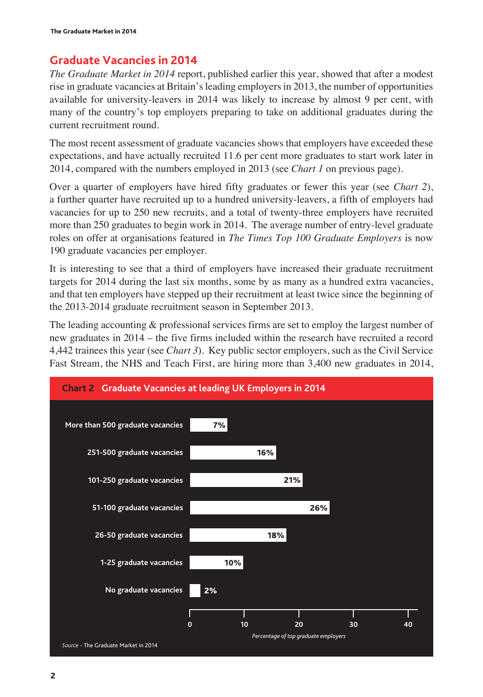## **Graduate Vacancies in 2014**

*The Graduate Market in 2014* report, published earlier this year, showed that after a modest rise in graduate vacancies at Britain's leading employers in 2013, the number of opportunities available for university-leavers in 2014 was likely to increase by almost 9 per cent, with many of the country's top employers preparing to take on additional graduates during the current recruitment round.

The most recent assessment of graduate vacancies shows that employers have exceeded these expectations, and have actually recruited 11.6 per cent more graduates to start work later in 2014, compared with the numbers employed in 2013 (see *Chart 1* on previous page).

Over a quarter of employers have hired fifty graduates or fewer this year (see *Chart 2*), a further quarter have recruited up to a hundred university-leavers, a fifth of employers had vacancies for up to 250 new recruits, and a total of twenty-three employers have recruited more than 250 graduates to begin work in 2014. The average number of entry-level graduate roles on offer at organisations featured in *The Times Top 100 Graduate Employers* is now 190 graduate vacancies per employer.

It is interesting to see that a third of employers have increased their graduate recruitment targets for 2014 during the last six months, some by as many as a hundred extra vacancies, and that ten employers have stepped up their recruitment at least twice since the beginning of the 2013-2014 graduate recruitment season in September 2013.

The leading accounting & professional services firms are set to employ the largest number of new graduates in 2014 – the five firms included within the research have recruited a record 4,442 trainees this year (see *Chart 3*). Key public sector employers, such as the Civil Service Fast Stream, the NHS and Teach First, are hiring more than 3,400 new graduates in 2014,

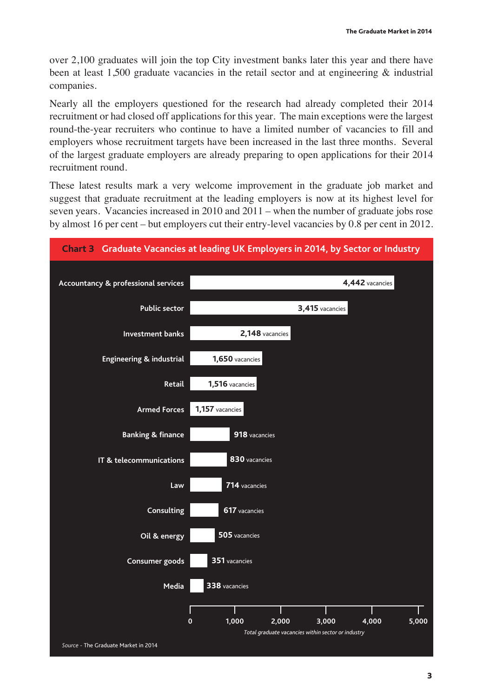over 2,100 graduates will join the top City investment banks later this year and there have been at least 1,500 graduate vacancies in the retail sector and at engineering  $\&$  industrial companies.

Nearly all the employers questioned for the research had already completed their 2014 recruitment or had closed off applications for this year. The main exceptions were the largest round-the-year recruiters who continue to have a limited number of vacancies to fill and employers whose recruitment targets have been increased in the last three months. Several of the largest graduate employers are already preparing to open applications for their 2014 recruitment round.

These latest results mark a very welcome improvement in the graduate job market and suggest that graduate recruitment at the leading employers is now at its highest level for seven years. Vacancies increased in 2010 and 2011 – when the number of graduate jobs rose by almost 16 per cent – but employers cut their entry-level vacancies by 0.8 per cent in 2012.

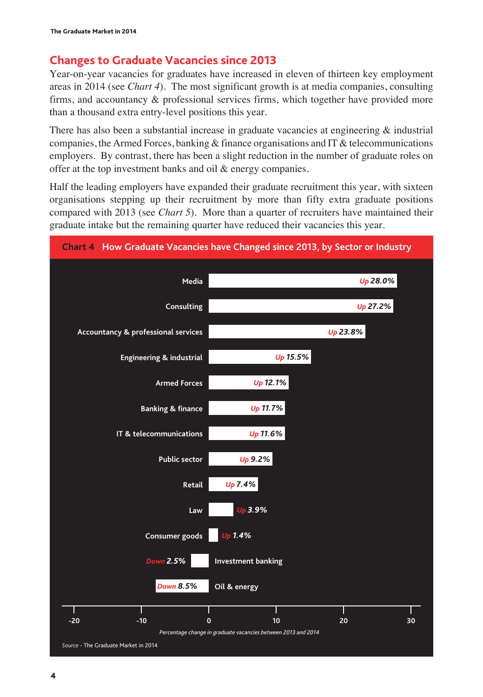## **Changes to Graduate Vacancies since 2013**

Year-on-year vacancies for graduates have increased in eleven of thirteen key employment areas in 2014 (see *Chart 4*). The most significant growth is at media companies, consulting firms, and accountancy & professional services firms, which together have provided more than a thousand extra entry-level positions this year.

There has also been a substantial increase in graduate vacancies at engineering  $\&$  industrial companies, the Armed Forces, banking  $\&$  finance organisations and IT  $\&$  telecommunications employers. By contrast, there has been a slight reduction in the number of graduate roles on offer at the top investment banks and oil & energy companies.

Half the leading employers have expanded their graduate recruitment this year, with sixteen organisations stepping up their recruitment by more than fifty extra graduate positions compared with 2013 (see *Chart 5*). More than a quarter of recruiters have maintained their graduate intake but the remaining quarter have reduced their vacancies this year.

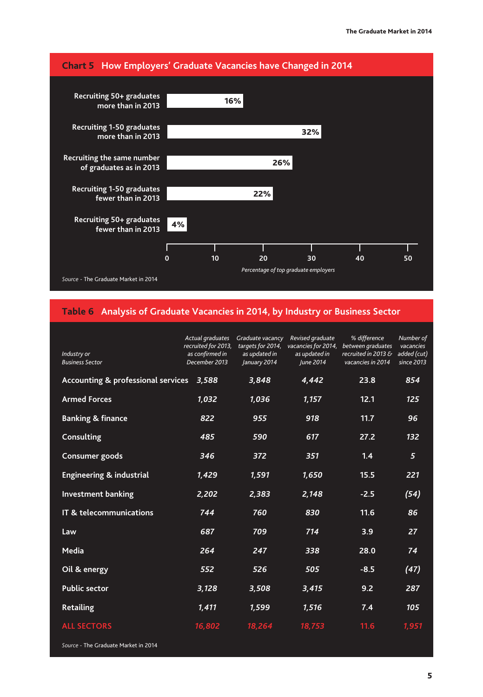

#### **Table 6 Analysis of Graduate Vacancies in 2014, by Industry or Business Sector**

| Industry or<br><b>Business Sector</b>         | Actual graduates<br>recruited for 2013,<br>as confirmed in<br>December 2013 | Graduate vacancy<br>targets for 2014,<br>as updated in<br>January 2014 | Revised graduate<br>vacancies for 2014,<br>as updated in<br>June 2014 | % difference<br>between graduates<br>recruited in 2013 $\delta$<br>vacancies in 2014 | Number of<br>vacancies<br>added (cut)<br>since 2013 |
|-----------------------------------------------|-----------------------------------------------------------------------------|------------------------------------------------------------------------|-----------------------------------------------------------------------|--------------------------------------------------------------------------------------|-----------------------------------------------------|
| <b>Accounting &amp; professional services</b> | 3.588                                                                       | 3,848                                                                  | 4.442                                                                 | 23.8                                                                                 | 854                                                 |
| <b>Armed Forces</b>                           | 1,032                                                                       | 1,036                                                                  | 1,157                                                                 | 12.1                                                                                 | 125                                                 |
| <b>Banking &amp; finance</b>                  | 822                                                                         | 955                                                                    | 918                                                                   | 11.7                                                                                 | 96                                                  |
| Consulting                                    | 485                                                                         | 590                                                                    | 617                                                                   | 27.2                                                                                 | 132                                                 |
| Consumer goods                                | 346                                                                         | 372                                                                    | 351                                                                   | 1.4                                                                                  | 5                                                   |
| <b>Engineering &amp; industrial</b>           | 1,429                                                                       | 1,591                                                                  | 1,650                                                                 | 15.5                                                                                 | 221                                                 |
| <b>Investment banking</b>                     | 2,202                                                                       | 2,383                                                                  | 2,148                                                                 | $-2.5$                                                                               | (54)                                                |
| IT & telecommunications                       | 744                                                                         | 760                                                                    | 830                                                                   | 11.6                                                                                 | 86                                                  |
| Law                                           | 687                                                                         | 709                                                                    | 714                                                                   | 3.9                                                                                  | 27                                                  |
| Media                                         | 264                                                                         | 247                                                                    | 338                                                                   | 28.0                                                                                 | 74                                                  |
| Oil & energy                                  | 552                                                                         | 526                                                                    | 505                                                                   | $-8.5$                                                                               | (47)                                                |
| <b>Public sector</b>                          | 3,128                                                                       | 3,508                                                                  | 3,415                                                                 | 9.2                                                                                  | 287                                                 |
| <b>Retailing</b>                              | 1,411                                                                       | 1,599                                                                  | 1,516                                                                 | 7.4                                                                                  | 105                                                 |
| <b>ALL SECTORS</b>                            | 16,802                                                                      | 18,264                                                                 | 18,753                                                                | 11.6                                                                                 | 1,951                                               |

*Source* - The Graduate Market in 2014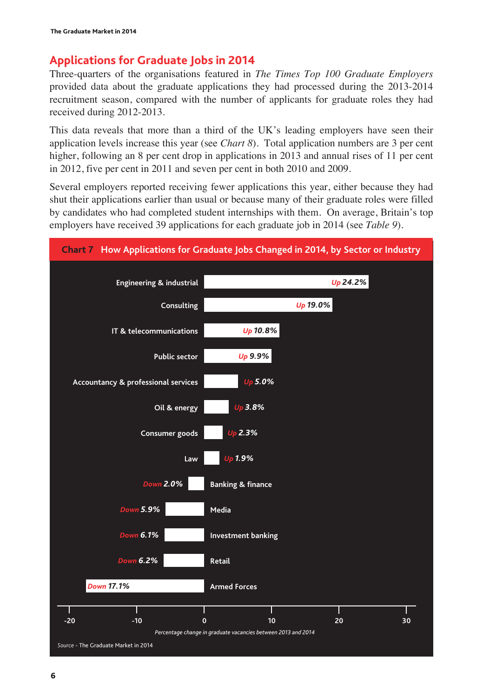## **Applications for Graduate Jobs in 2014**

Three-quarters of the organisations featured in *The Times Top 100 Graduate Employers* provided data about the graduate applications they had processed during the 2013-2014 recruitment season, compared with the number of applicants for graduate roles they had received during 2012-2013.

This data reveals that more than a third of the UK's leading employers have seen their application levels increase this year (see *Chart 8*). Total application numbers are 3 per cent higher, following an 8 per cent drop in applications in 2013 and annual rises of 11 per cent in 2012, five per cent in 2011 and seven per cent in both 2010 and 2009.

Several employers reported receiving fewer applications this year, either because they had shut their applications earlier than usual or because many of their graduate roles were filled by candidates who had completed student internships with them. On average, Britain's top employers have received 39 applications for each graduate job in 2014 (see *Table 9*).

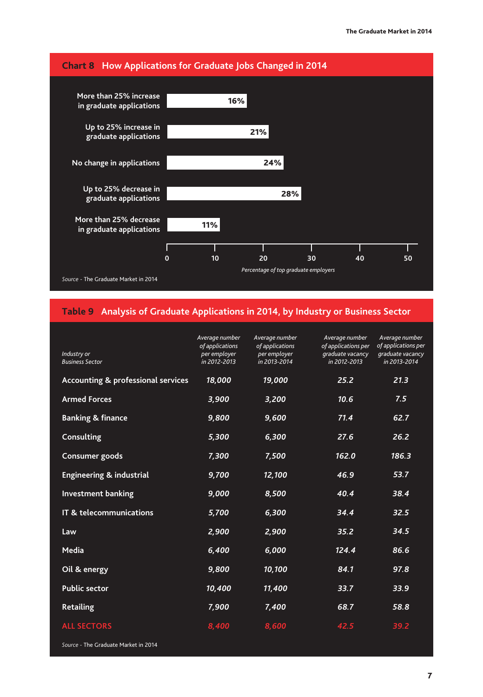

#### **Table 9 Analysis of Graduate Applications in 2014, by Industry or Business Sector**

| Industry or<br><b>Business Sector</b>         | Average number<br>of applications<br>per employer<br>in 2012-2013 | Average number<br>of applications<br>per employer<br>in 2013-2014 | Average number<br>of applications per<br>graduate vacancy<br>in 2012-2013 | Average number<br>of applications per<br>graduate vacancy<br>in 2013-2014 |
|-----------------------------------------------|-------------------------------------------------------------------|-------------------------------------------------------------------|---------------------------------------------------------------------------|---------------------------------------------------------------------------|
| <b>Accounting &amp; professional services</b> | 18,000                                                            | 19,000                                                            | 25.2                                                                      | 21.3                                                                      |
| <b>Armed Forces</b>                           | 3,900                                                             | 3,200                                                             | 10.6                                                                      | 7.5                                                                       |
| <b>Banking &amp; finance</b>                  | 9,800                                                             | 9,600                                                             | 71.4                                                                      | 62.7                                                                      |
| Consulting                                    | 5,300                                                             | 6,300                                                             | 27.6                                                                      | 26.2                                                                      |
| Consumer goods                                | 7,300                                                             | 7,500                                                             | 162.0                                                                     | 186.3                                                                     |
| <b>Engineering &amp; industrial</b>           | 9,700                                                             | 12,100                                                            | 46.9                                                                      | 53.7                                                                      |
| <b>Investment banking</b>                     | 9,000                                                             | 8,500                                                             | 40.4                                                                      | 38.4                                                                      |
| IT & telecommunications                       | 5,700                                                             | 6,300                                                             | 34.4                                                                      | 32.5                                                                      |
| Law                                           | 2,900                                                             | 2,900                                                             | 35.2                                                                      | 34.5                                                                      |
| Media                                         | 6,400                                                             | 6,000                                                             | 124.4                                                                     | 86.6                                                                      |
| Oil & energy                                  | 9,800                                                             | 10,100                                                            | 84.1                                                                      | 97.8                                                                      |
| <b>Public sector</b>                          | 10,400                                                            | 11,400                                                            | 33.7                                                                      | 33.9                                                                      |
| <b>Retailing</b>                              | 7,900                                                             | 7,400                                                             | 68.7                                                                      | 58.8                                                                      |
| <b>ALL SECTORS</b>                            | 8,400                                                             | 8,600                                                             | 42.5                                                                      | 39.2                                                                      |

*Source* - The Graduate Market in 2014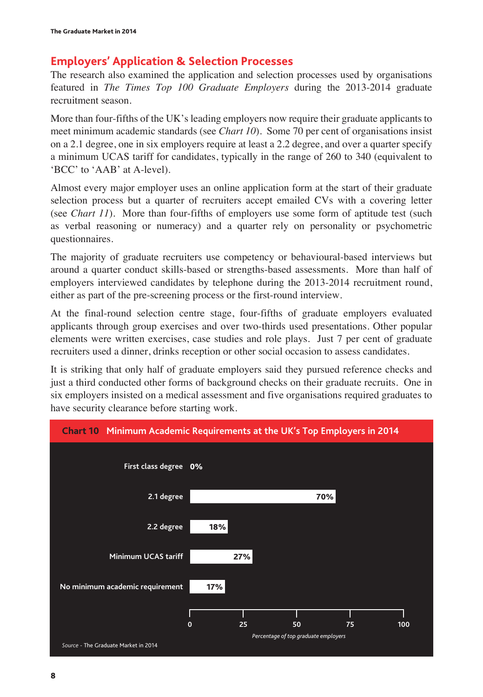## **Employers' Application & Selection Processes**

The research also examined the application and selection processes used by organisations featured in *The Times Top 100 Graduate Employers* during the 2013-2014 graduate recruitment season.

More than four-fifths of the UK's leading employers now require their graduate applicants to meet minimum academic standards (see *Chart 10*). Some 70 per cent of organisations insist on a 2.1 degree, one in six employers require at least a 2.2 degree, and over a quarter specify a minimum UCAS tariff for candidates, typically in the range of 260 to 340 (equivalent to 'BCC' to 'AAB' at A-level).

Almost every major employer uses an online application form at the start of their graduate selection process but a quarter of recruiters accept emailed CVs with a covering letter (see *Chart 11*). More than four-fifths of employers use some form of aptitude test (such as verbal reasoning or numeracy) and a quarter rely on personality or psychometric questionnaires.

The majority of graduate recruiters use competency or behavioural-based interviews but around a quarter conduct skills-based or strengths-based assessments. More than half of employers interviewed candidates by telephone during the 2013-2014 recruitment round, either as part of the pre-screening process or the first-round interview.

At the final-round selection centre stage, four-fifths of graduate employers evaluated applicants through group exercises and over two-thirds used presentations. Other popular elements were written exercises, case studies and role plays. Just 7 per cent of graduate recruiters used a dinner, drinks reception or other social occasion to assess candidates.

It is striking that only half of graduate employers said they pursued reference checks and just a third conducted other forms of background checks on their graduate recruits. One in six employers insisted on a medical assessment and five organisations required graduates to have security clearance before starting work.

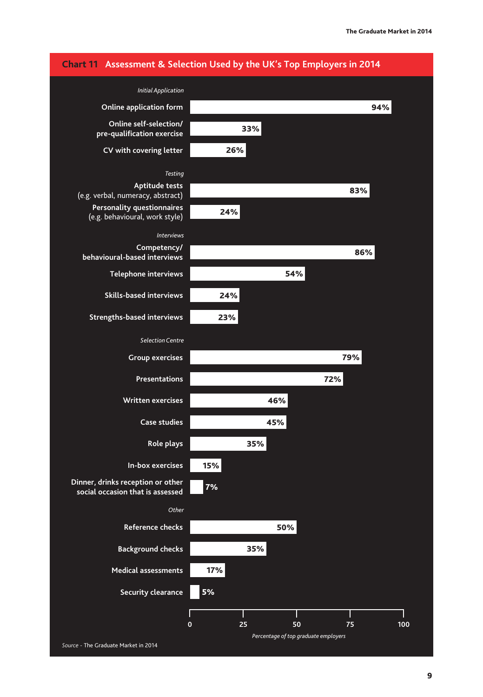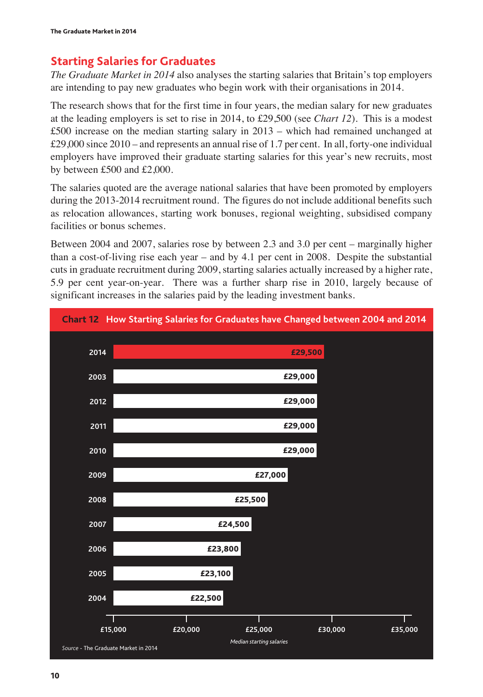## **Starting Salaries for Graduates**

*The Graduate Market in 2014* also analyses the starting salaries that Britain's top employers are intending to pay new graduates who begin work with their organisations in 2014.

The research shows that for the first time in four years, the median salary for new graduates at the leading employers is set to rise in 2014, to £29,500 (see *Chart 12*). This is a modest £500 increase on the median starting salary in 2013 – which had remained unchanged at £29,000 since 2010 – and represents an annual rise of 1.7 per cent. In all, forty-one individual employers have improved their graduate starting salaries for this year's new recruits, most by between £500 and £2,000.

The salaries quoted are the average national salaries that have been promoted by employers during the 2013-2014 recruitment round. The figures do not include additional benefits such as relocation allowances, starting work bonuses, regional weighting, subsidised company facilities or bonus schemes.

Between 2004 and 2007, salaries rose by between 2.3 and 3.0 per cent – marginally higher than a cost-of-living rise each year – and by 4.1 per cent in 2008. Despite the substantial cuts in graduate recruitment during 2009, starting salaries actually increased by a higher rate, 5.9 per cent year-on-year. There was a further sharp rise in 2010, largely because of significant increases in the salaries paid by the leading investment banks.

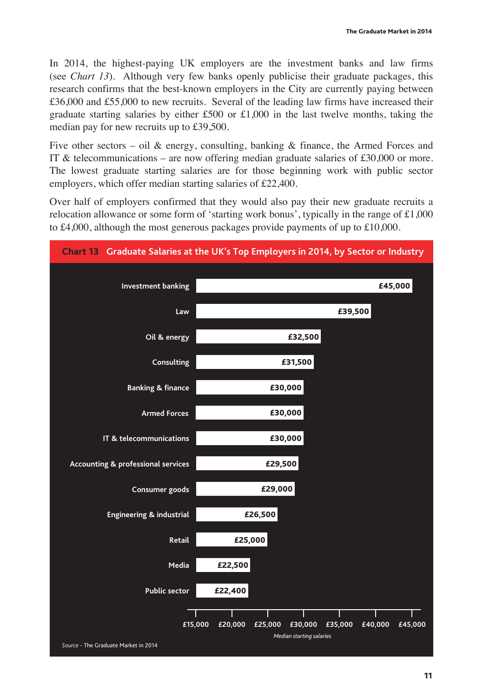In 2014, the highest-paying UK employers are the investment banks and law firms (see *Chart 13*). Although very few banks openly publicise their graduate packages, this research confirms that the best-known employers in the City are currently paying between £36,000 and £55,000 to new recruits. Several of the leading law firms have increased their graduate starting salaries by either £500 or £1,000 in the last twelve months, taking the median pay for new recruits up to £39,500.

Five other sectors – oil & energy, consulting, banking & finance, the Armed Forces and IT  $\&$  telecommunications – are now offering median graduate salaries of £30,000 or more. The lowest graduate starting salaries are for those beginning work with public sector employers, which offer median starting salaries of £22,400.

Over half of employers confirmed that they would also pay their new graduate recruits a relocation allowance or some form of 'starting work bonus', typically in the range of £1,000 to £4,000, although the most generous packages provide payments of up to £10,000.

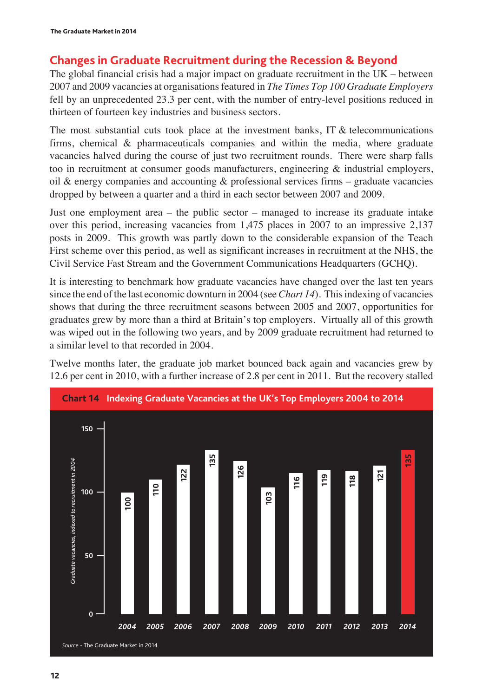## **Changes in Graduate Recruitment during the Recession & Beyond**

The global financial crisis had a major impact on graduate recruitment in the UK – between 2007 and 2009 vacancies at organisations featured in *The Times Top 100 Graduate Employers* fell by an unprecedented 23.3 per cent, with the number of entry-level positions reduced in thirteen of fourteen key industries and business sectors.

The most substantial cuts took place at the investment banks, IT  $\&$  telecommunications firms, chemical & pharmaceuticals companies and within the media, where graduate vacancies halved during the course of just two recruitment rounds. There were sharp falls too in recruitment at consumer goods manufacturers, engineering & industrial employers, oil  $\&$  energy companies and accounting  $\&$  professional services firms – graduate vacancies dropped by between a quarter and a third in each sector between 2007 and 2009.

Just one employment area – the public sector – managed to increase its graduate intake over this period, increasing vacancies from 1,475 places in 2007 to an impressive 2,137 posts in 2009. This growth was partly down to the considerable expansion of the Teach First scheme over this period, as well as significant increases in recruitment at the NHS, the Civil Service Fast Stream and the Government Communications Headquarters (GCHQ).

It is interesting to benchmark how graduate vacancies have changed over the last ten years since the end of the last economic downturn in 2004 (see *Chart 14*). This indexing of vacancies shows that during the three recruitment seasons between 2005 and 2007, opportunities for graduates grew by more than a third at Britain's top employers. Virtually all of this growth was wiped out in the following two years, and by 2009 graduate recruitment had returned to a similar level to that recorded in 2004.

Twelve months later, the graduate job market bounced back again and vacancies grew by 12.6 per cent in 2010, with a further increase of 2.8 per cent in 2011. But the recovery stalled

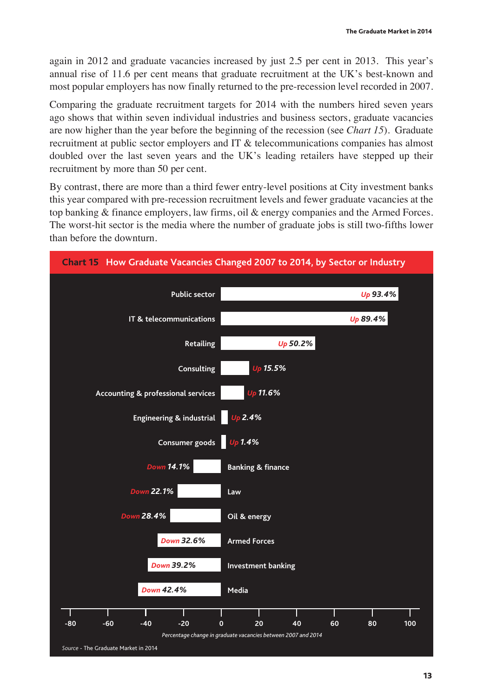again in 2012 and graduate vacancies increased by just 2.5 per cent in 2013. This year's annual rise of 11.6 per cent means that graduate recruitment at the UK's best-known and most popular employers has now finally returned to the pre-recession level recorded in 2007.

Comparing the graduate recruitment targets for 2014 with the numbers hired seven years ago shows that within seven individual industries and business sectors, graduate vacancies are now higher than the year before the beginning of the recession (see *Chart 15*). Graduate recruitment at public sector employers and IT & telecommunications companies has almost doubled over the last seven years and the UK's leading retailers have stepped up their recruitment by more than 50 per cent.

By contrast, there are more than a third fewer entry-level positions at City investment banks this year compared with pre-recession recruitment levels and fewer graduate vacancies at the top banking & finance employers, law firms, oil & energy companies and the Armed Forces. The worst-hit sector is the media where the number of graduate jobs is still two-fifths lower than before the downturn.

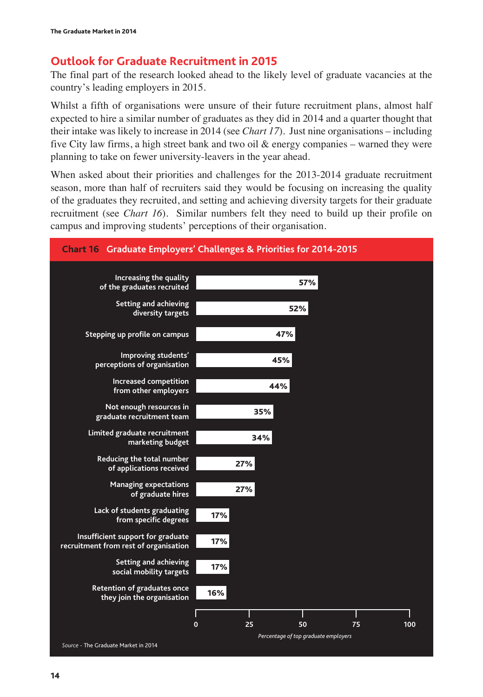## **Outlook for Graduate Recruitment in 2015**

The final part of the research looked ahead to the likely level of graduate vacancies at the country's leading employers in 2015.

Whilst a fifth of organisations were unsure of their future recruitment plans, almost half expected to hire a similar number of graduates as they did in 2014 and a quarter thought that their intake was likely to increase in 2014 (see *Chart 17*). Just nine organisations – including five City law firms, a high street bank and two oil & energy companies – warned they were planning to take on fewer university-leavers in the year ahead.

When asked about their priorities and challenges for the 2013-2014 graduate recruitment season, more than half of recruiters said they would be focusing on increasing the quality of the graduates they recruited, and setting and achieving diversity targets for their graduate recruitment (see *Chart 16*). Similar numbers felt they need to build up their profile on campus and improving students' perceptions of their organisation.



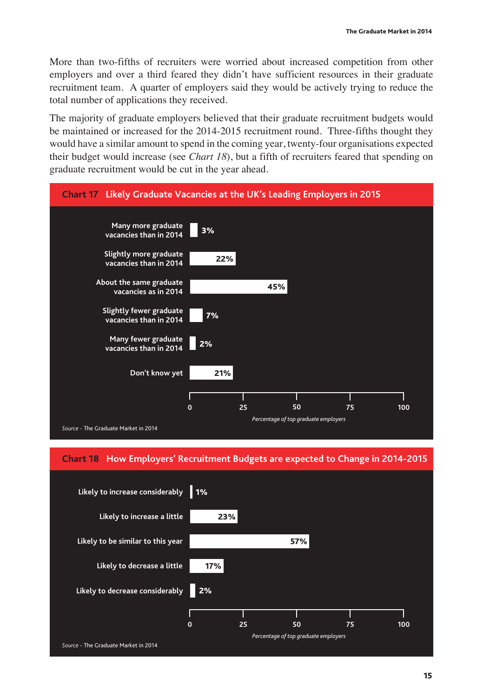More than two-fifths of recruiters were worried about increased competition from other employers and over a third feared they didn't have sufficient resources in their graduate recruitment team. A quarter of employers said they would be actively trying to reduce the total number of applications they received.

The majority of graduate employers believed that their graduate recruitment budgets would be maintained or increased for the 2014-2015 recruitment round. Three-fifths thought they would have a similar amount to spend in the coming year, twenty-four organisations expected their budget would increase (see *Chart 18*), but a fifth of recruiters feared that spending on graduate recruitment would be cut in the year ahead.



#### **Chart 18 How Employers' Recruitment Budgets are expected to Change in 2014-2015**